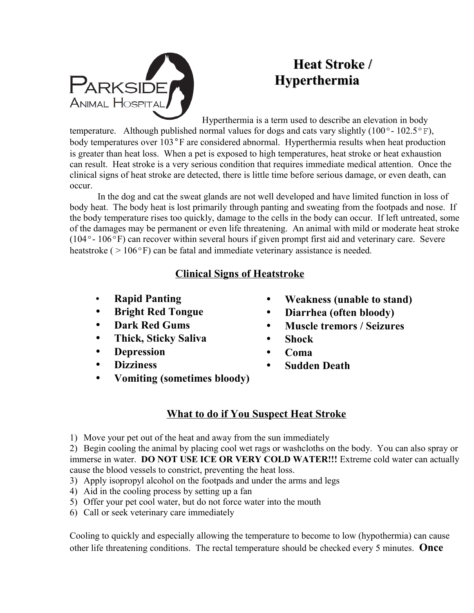

## **Heat Stroke / Hyperthermia**

Hyperthermia is a term used to describe an elevation in body

temperature. Although published normal values for dogs and cats vary slightly (100 $^{\circ}$ -102.5 $^{\circ}$ F), body temperatures over 103°F are considered abnormal. Hyperthermia results when heat production is greater than heat loss. When a pet is exposed to high temperatures, heat stroke or heat exhaustion can result. Heat stroke is a very serious condition that requires immediate medical attention. Once the clinical signs of heat stroke are detected, there is little time before serious damage, or even death, can occur.

In the dog and cat the sweat glands are not well developed and have limited function in loss of body heat. The body heat is lost primarily through panting and sweating from the footpads and nose. If the body temperature rises too quickly, damage to the cells in the body can occur. If left untreated, some of the damages may be permanent or even life threatening. An animal with mild or moderate heat stroke (104º- 106ºF) can recover within several hours if given prompt first aid and veterinary care. Severe heatstroke ( $> 106^{\circ}$ F) can be fatal and immediate veterinary assistance is needed.

## **Clinical Signs of Heatstroke**

- **Rapid Panting**
- **Bright Red Tongue**
- **Dark Red Gums**
- **Thick, Sticky Saliva**
- **Depression**
- **Dizziness**
- **Vomiting (sometimes bloody)**
- **Weakness (unable to stand)**
- **Diarrhea (often bloody)**
- **Muscle tremors / Seizures**
- **Shock**
- **Coma**
- **Sudden Death**
- 

## **What to do if You Suspect Heat Stroke**

1) Move your pet out of the heat and away from the sun immediately

2) Begin cooling the animal by placing cool wet rags or washcloths on the body. You can also spray or immerse in water. **DO NOT USE ICE OR VERY COLD WATER!!!** Extreme cold water can actually cause the blood vessels to constrict, preventing the heat loss.

- 3) Apply isopropyl alcohol on the footpads and under the arms and legs
- 4) Aid in the cooling process by setting up a fan
- 5) Offer your pet cool water, but do not force water into the mouth
- 6) Call or seek veterinary care immediately

Cooling to quickly and especially allowing the temperature to become to low (hypothermia) can cause other life threatening conditions. The rectal temperature should be checked every 5 minutes. **Once**